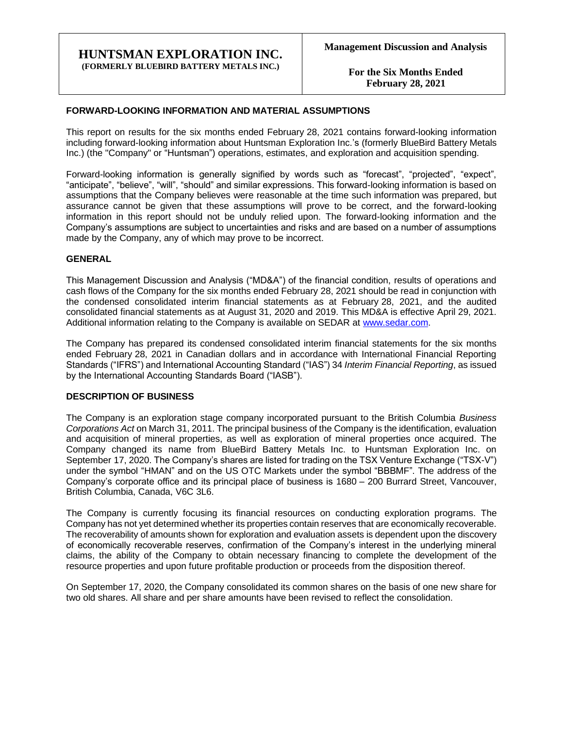### **HUNTSMAN EXPLORATION INC. (FORMERLY BLUEBIRD BATTERY METALS INC.)**

**For the Six Months Ended February 28, 2021**

### **FORWARD-LOOKING INFORMATION AND MATERIAL ASSUMPTIONS**

This report on results for the six months ended February 28, 2021 contains forward-looking information including forward-looking information about Huntsman Exploration Inc.'s (formerly BlueBird Battery Metals Inc.) (the "Company" or "Huntsman") operations, estimates, and exploration and acquisition spending.

Forward-looking information is generally signified by words such as "forecast", "projected", "expect", "anticipate", "believe", "will", "should" and similar expressions. This forward-looking information is based on assumptions that the Company believes were reasonable at the time such information was prepared, but assurance cannot be given that these assumptions will prove to be correct, and the forward-looking information in this report should not be unduly relied upon. The forward-looking information and the Company's assumptions are subject to uncertainties and risks and are based on a number of assumptions made by the Company, any of which may prove to be incorrect.

### **GENERAL**

This Management Discussion and Analysis ("MD&A") of the financial condition, results of operations and cash flows of the Company for the six months ended February 28, 2021 should be read in conjunction with the condensed consolidated interim financial statements as at February 28, 2021, and the audited consolidated financial statements as at August 31, 2020 and 2019. This MD&A is effective April 29, 2021. Additional information relating to the Company is available on SEDAR at [www.sedar.com.](http://www.sedar.com/)

The Company has prepared its condensed consolidated interim financial statements for the six months ended February 28, 2021 in Canadian dollars and in accordance with International Financial Reporting Standards ("IFRS") and International Accounting Standard ("IAS") 34 *Interim Financial Reporting*, as issued by the International Accounting Standards Board ("IASB").

### **DESCRIPTION OF BUSINESS**

The Company is an exploration stage company incorporated pursuant to the British Columbia *Business Corporations Act* on March 31, 2011. The principal business of the Company is the identification, evaluation and acquisition of mineral properties, as well as exploration of mineral properties once acquired. The Company changed its name from BlueBird Battery Metals Inc. to Huntsman Exploration Inc. on September 17, 2020. The Company's shares are listed for trading on the TSX Venture Exchange ("TSX-V") under the symbol "HMAN" and on the US OTC Markets under the symbol "BBBMF". The address of the Company's corporate office and its principal place of business is 1680 – 200 Burrard Street, Vancouver, British Columbia, Canada, V6C 3L6.

The Company is currently focusing its financial resources on conducting exploration programs. The Company has not yet determined whether its properties contain reserves that are economically recoverable. The recoverability of amounts shown for exploration and evaluation assets is dependent upon the discovery of economically recoverable reserves, confirmation of the Company's interest in the underlying mineral claims, the ability of the Company to obtain necessary financing to complete the development of the resource properties and upon future profitable production or proceeds from the disposition thereof.

On September 17, 2020, the Company consolidated its common shares on the basis of one new share for two old shares. All share and per share amounts have been revised to reflect the consolidation.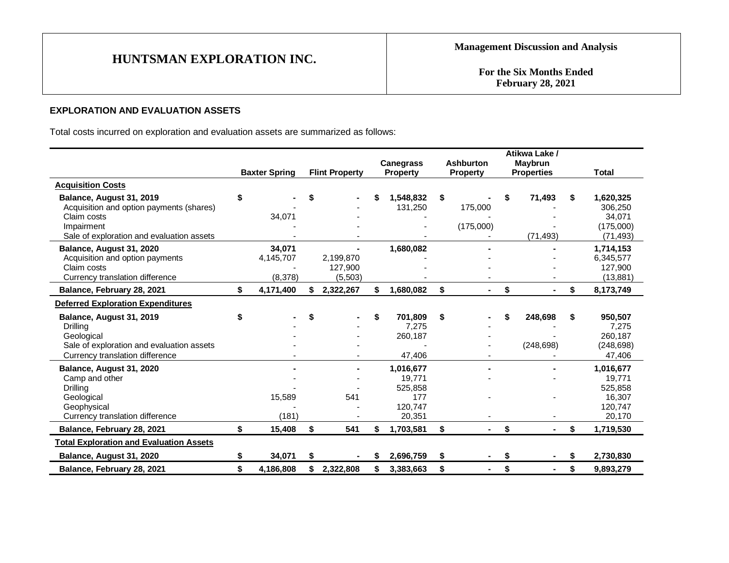**For the Six Months Ended February 28, 2021**

### **EXPLORATION AND EVALUATION ASSETS**

Total costs incurred on exploration and evaluation assets are summarized as follows:

|                                                                                                                                                | <b>Baxter Spring</b>           |    | <b>Flint Property</b>           |    | <b>Canegrass</b><br><b>Property</b>                        | <b>Ashburton</b><br><b>Property</b> |    | Atikwa Lake /<br><b>Maybrun</b><br><b>Properties</b> |    | <b>Total</b>                                                  |
|------------------------------------------------------------------------------------------------------------------------------------------------|--------------------------------|----|---------------------------------|----|------------------------------------------------------------|-------------------------------------|----|------------------------------------------------------|----|---------------------------------------------------------------|
| <b>Acquisition Costs</b>                                                                                                                       |                                |    |                                 |    |                                                            |                                     |    |                                                      |    |                                                               |
| Balance, August 31, 2019<br>Acquisition and option payments (shares)<br>Claim costs<br>Impairment<br>Sale of exploration and evaluation assets | \$<br>34,071                   | S  |                                 |    | 1,548,832<br>131,250                                       | \$<br>175,000<br>(175,000)          |    | 71,493<br>(71, 493)                                  | \$ | 1,620,325<br>306,250<br>34,071<br>(175,000)<br>(71, 493)      |
| Balance, August 31, 2020<br>Acquisition and option payments<br>Claim costs<br>Currency translation difference                                  | 34,071<br>4,145,707<br>(8,378) |    | 2,199,870<br>127,900<br>(5,503) |    | 1,680,082                                                  |                                     |    |                                                      |    | 1,714,153<br>6,345,577<br>127,900<br>(13, 881)                |
| Balance, February 28, 2021                                                                                                                     | \$<br>4,171,400                |    | 2,322,267                       | S. | 1,680,082                                                  | \$<br>$\blacksquare$                | \$ | $\blacksquare$                                       | \$ | 8,173,749                                                     |
| <b>Deferred Exploration Expenditures</b>                                                                                                       |                                |    |                                 |    |                                                            |                                     |    |                                                      |    |                                                               |
| Balance, August 31, 2019<br>Drilling<br>Geological<br>Sale of exploration and evaluation assets<br>Currency translation difference             | \$                             | S  |                                 | \$ | 701,809<br>7,275<br>260,187<br>47,406                      | \$                                  | S  | 248,698<br>(248, 698)                                | \$ | 950,507<br>7,275<br>260,187<br>(248, 698)<br>47,406           |
| Balance, August 31, 2020<br>Camp and other<br><b>Drilling</b><br>Geological<br>Geophysical<br>Currency translation difference                  | 15,589<br>(181)                |    | 541                             |    | 1,016,677<br>19,771<br>525,858<br>177<br>120,747<br>20,351 |                                     |    |                                                      |    | 1,016,677<br>19,771<br>525,858<br>16,307<br>120,747<br>20,170 |
| Balance, February 28, 2021                                                                                                                     | \$<br>15,408                   | \$ | 541                             | \$ | 1,703,581                                                  | \$                                  | \$ |                                                      | \$ | 1,719,530                                                     |
| <b>Total Exploration and Evaluation Assets</b>                                                                                                 |                                |    |                                 |    |                                                            |                                     |    |                                                      |    |                                                               |
| Balance, August 31, 2020                                                                                                                       | \$<br>34,071                   | \$ |                                 | S  | 2,696,759                                                  | \$                                  | \$ | ۰.                                                   | S  | 2,730,830                                                     |
| Balance, February 28, 2021                                                                                                                     | \$<br>4,186,808                | S  | 2,322,808                       | \$ | 3,383,663                                                  | \$<br>۰                             | \$ | ٠                                                    | \$ | 9,893,279                                                     |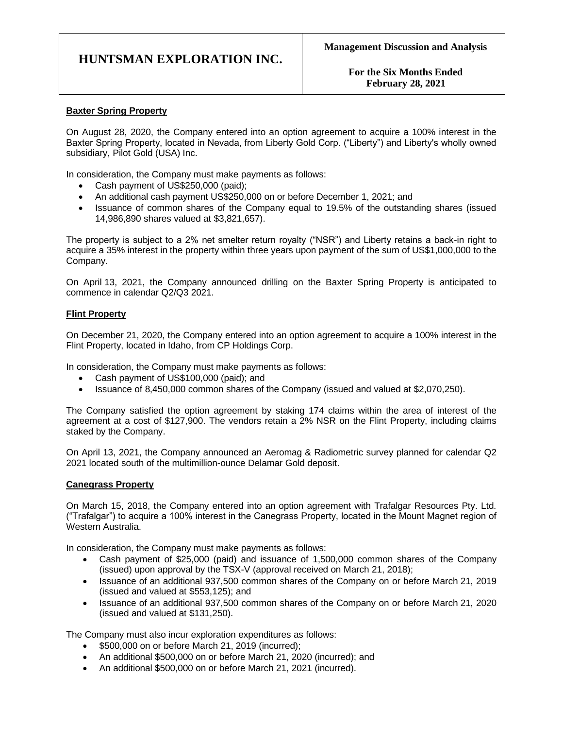**For the Six Months Ended February 28, 2021**

### **Baxter Spring Property**

On August 28, 2020, the Company entered into an option agreement to acquire a 100% interest in the Baxter Spring Property, located in Nevada, from Liberty Gold Corp. ("Liberty") and Liberty's wholly owned subsidiary, Pilot Gold (USA) Inc.

In consideration, the Company must make payments as follows:

- Cash payment of US\$250,000 (paid);
- An additional cash payment US\$250,000 on or before December 1, 2021; and
- Issuance of common shares of the Company equal to 19.5% of the outstanding shares (issued 14,986,890 shares valued at \$3,821,657).

The property is subject to a 2% net smelter return royalty ("NSR") and Liberty retains a back-in right to acquire a 35% interest in the property within three years upon payment of the sum of US\$1,000,000 to the Company.

On April 13, 2021, the Company announced drilling on the Baxter Spring Property is anticipated to commence in calendar Q2/Q3 2021.

### **Flint Property**

On December 21, 2020, the Company entered into an option agreement to acquire a 100% interest in the Flint Property, located in Idaho, from CP Holdings Corp.

In consideration, the Company must make payments as follows:

- Cash payment of US\$100,000 (paid); and
- Issuance of 8,450,000 common shares of the Company (issued and valued at \$2,070,250).

The Company satisfied the option agreement by staking 174 claims within the area of interest of the agreement at a cost of \$127,900. The vendors retain a 2% NSR on the Flint Property, including claims staked by the Company.

On April 13, 2021, the Company announced an Aeromag & Radiometric survey planned for calendar Q2 2021 located south of the multimillion-ounce Delamar Gold deposit.

### **Canegrass Property**

On March 15, 2018, the Company entered into an option agreement with Trafalgar Resources Pty. Ltd. ("Trafalgar") to acquire a 100% interest in the Canegrass Property, located in the Mount Magnet region of Western Australia.

In consideration, the Company must make payments as follows:

- Cash payment of \$25,000 (paid) and issuance of 1,500,000 common shares of the Company (issued) upon approval by the TSX-V (approval received on March 21, 2018);
- Issuance of an additional 937,500 common shares of the Company on or before March 21, 2019 (issued and valued at \$553,125); and
- Issuance of an additional 937,500 common shares of the Company on or before March 21, 2020 (issued and valued at \$131,250).

The Company must also incur exploration expenditures as follows:

- \$500,000 on or before March 21, 2019 (incurred);
- An additional \$500,000 on or before March 21, 2020 (incurred); and
- An additional \$500,000 on or before March 21, 2021 (incurred).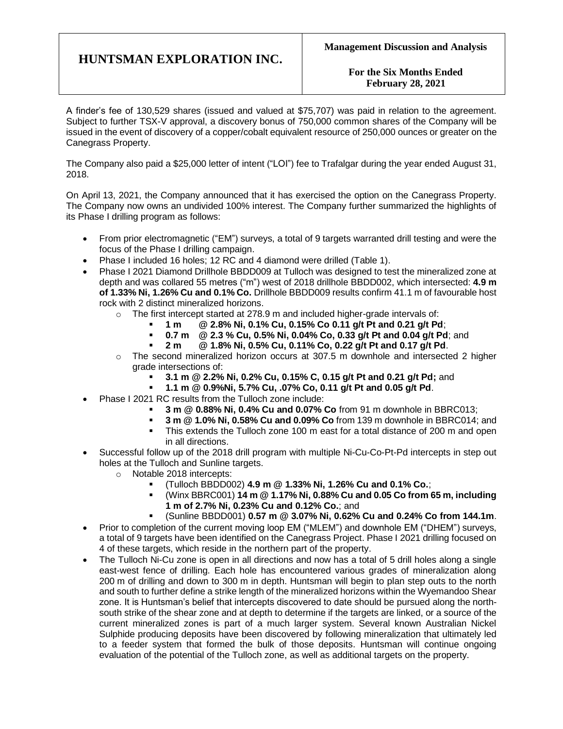**For the Six Months Ended February 28, 2021**

A finder's fee of 130,529 shares (issued and valued at \$75,707) was paid in relation to the agreement. Subject to further TSX-V approval, a discovery bonus of 750,000 common shares of the Company will be issued in the event of discovery of a copper/cobalt equivalent resource of 250,000 ounces or greater on the Canegrass Property.

The Company also paid a \$25,000 letter of intent ("LOI") fee to Trafalgar during the year ended August 31, 2018.

On April 13, 2021, the Company announced that it has exercised the option on the Canegrass Property. The Company now owns an undivided 100% interest. The Company further summarized the highlights of its Phase I drilling program as follows:

- From prior electromagnetic ("EM") surveys, a total of 9 targets warranted drill testing and were the focus of the Phase I drilling campaign.
- Phase I included 16 holes; 12 RC and 4 diamond were drilled (Table 1).
- Phase I 2021 Diamond Drillhole BBDD009 at Tulloch was designed to test the mineralized zone at depth and was collared 55 metres ("m") west of 2018 drillhole BBDD002, which intersected: **4.9 m of 1.33% Ni, 1.26% Cu and 0.1% Co.** Drillhole BBDD009 results confirm 41.1 m of favourable host rock with 2 distinct mineralized horizons.
	- o The first intercept started at 278.9 m and included higher-grade intervals of:
		- **1 m @ 2.8% Ni, 0.1% Cu, 0.15% Co 0.11 g/t Pt and 0.21 g/t Pd**;
		- **0.7 m @ 2.3 % Cu, 0.5% Ni, 0.04% Co, 0.33 g/t Pt and 0.04 g/t Pd**; and
		- **2 m @ 1.8% Ni, 0.5% Cu, 0.11% Co, 0.22 g/t Pt and 0.17 g/t Pd**.
	- $\circ$  The second mineralized horizon occurs at 307.5 m downhole and intersected 2 higher grade intersections of:
		- **3.1 m @ 2.2% Ni, 0.2% Cu, 0.15% C, 0.15 g/t Pt and 0.21 g/t Pd;** and
		- **1.1 m @ 0.9%Ni, 5.7% Cu, .07% Co, 0.11 g/t Pt and 0.05 g/t Pd**.
- Phase I 2021 RC results from the Tulloch zone include:
	- **3 m @ 0.88% Ni, 0.4% Cu and 0.07% Co** from 91 m downhole in BBRC013;
	- **3 m @ 1.0% Ni, 0.58% Cu and 0.09% Co** from 139 m downhole in BBRC014; and
	- This extends the Tulloch zone 100 m east for a total distance of 200 m and open in all directions.
- Successful follow up of the 2018 drill program with multiple Ni-Cu-Co-Pt-Pd intercepts in step out holes at the Tulloch and Sunline targets.
	- o Notable 2018 intercepts:
		- (Tulloch BBDD002) **4.9 m @ 1.33% Ni, 1.26% Cu and 0.1% Co.**;
			- (Winx BBRC001) **14 m @ 1.17% Ni, 0.88% Cu and 0.05 Co from 65 m, including 1 m of 2.7% Ni, 0.23% Cu and 0.12% Co.**; and
			- (Sunline BBDD001) **0.57 m @ 3.07% Ni, 0.62% Cu and 0.24% Co from 144.1m**.
- Prior to completion of the current moving loop EM ("MLEM") and downhole EM ("DHEM") surveys, a total of 9 targets have been identified on the Canegrass Project. Phase I 2021 drilling focused on 4 of these targets, which reside in the northern part of the property.
- The Tulloch Ni-Cu zone is open in all directions and now has a total of 5 drill holes along a single east-west fence of drilling. Each hole has encountered various grades of mineralization along 200 m of drilling and down to 300 m in depth. Huntsman will begin to plan step outs to the north and south to further define a strike length of the mineralized horizons within the Wyemandoo Shear zone. It is Huntsman's belief that intercepts discovered to date should be pursued along the northsouth strike of the shear zone and at depth to determine if the targets are linked, or a source of the current mineralized zones is part of a much larger system. Several known Australian Nickel Sulphide producing deposits have been discovered by following mineralization that ultimately led to a feeder system that formed the bulk of those deposits. Huntsman will continue ongoing evaluation of the potential of the Tulloch zone, as well as additional targets on the property.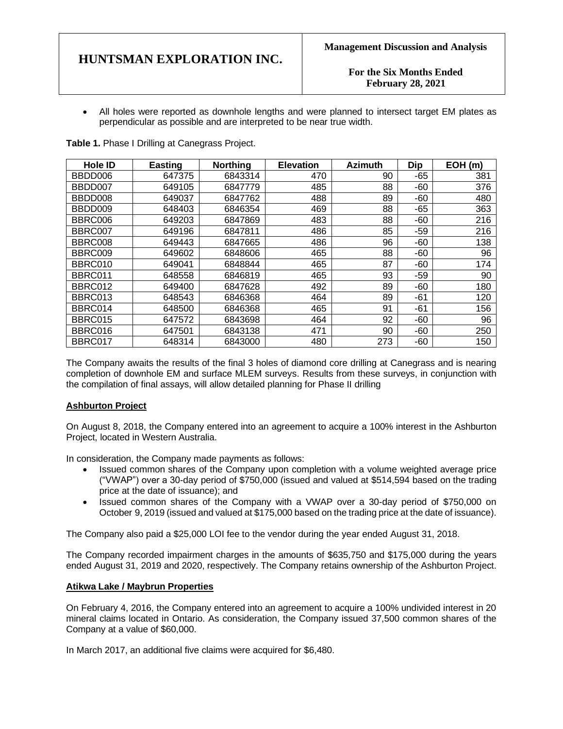**For the Six Months Ended February 28, 2021**

• All holes were reported as downhole lengths and were planned to intersect target EM plates as perpendicular as possible and are interpreted to be near true width.

**Table 1.** Phase I Drilling at Canegrass Project.

| <b>Hole ID</b> | <b>Easting</b> | <b>Northing</b> | <b>Elevation</b> | <b>Azimuth</b> | <b>Dip</b> | EOH (m) |
|----------------|----------------|-----------------|------------------|----------------|------------|---------|
| BBDD006        | 647375         | 6843314         | 470              | 90             | $-65$      | 381     |
| BBDD007        | 649105         | 6847779         | 485              | 88             | -60        | 376     |
| BBDD008        | 649037         | 6847762         | 488              | 89             | -60        | 480     |
| BBDD009        | 648403         | 6846354         | 469              | 88             | $-65$      | 363     |
| BBRC006        | 649203         | 6847869         | 483              | 88             | $-60$      | 216     |
| BBRC007        | 649196         | 6847811         | 486              | 85             | $-59$      | 216     |
| BBRC008        | 649443         | 6847665         | 486              | 96             | $-60$      | 138     |
| BBRC009        | 649602         | 6848606         | 465              | 88             | -60        | 96      |
| BBRC010        | 649041         | 6848844         | 465              | 87             | $-60$      | 174     |
| BBRC011        | 648558         | 6846819         | 465              | 93             | -59        | 90      |
| BBRC012        | 649400         | 6847628         | 492              | 89             | $-60$      | 180     |
| BBRC013        | 648543         | 6846368         | 464              | 89             | $-61$      | 120     |
| BBRC014        | 648500         | 6846368         | 465              | 91             | -61        | 156     |
| BBRC015        | 647572         | 6843698         | 464              | 92             | -60        | 96      |
| BBRC016        | 647501         | 6843138         | 471              | 90             | $-60$      | 250     |
| BBRC017        | 648314         | 6843000         | 480              | 273            | $-60$      | 150     |

The Company awaits the results of the final 3 holes of diamond core drilling at Canegrass and is nearing completion of downhole EM and surface MLEM surveys. Results from these surveys, in conjunction with the compilation of final assays, will allow detailed planning for Phase II drilling

### **Ashburton Project**

On August 8, 2018, the Company entered into an agreement to acquire a 100% interest in the Ashburton Project, located in Western Australia.

In consideration, the Company made payments as follows:

- Issued common shares of the Company upon completion with a volume weighted average price ("VWAP") over a 30-day period of \$750,000 (issued and valued at \$514,594 based on the trading price at the date of issuance); and
- Issued common shares of the Company with a VWAP over a 30-day period of \$750,000 on October 9, 2019 (issued and valued at \$175,000 based on the trading price at the date of issuance).

The Company also paid a \$25,000 LOI fee to the vendor during the year ended August 31, 2018.

The Company recorded impairment charges in the amounts of \$635,750 and \$175,000 during the years ended August 31, 2019 and 2020, respectively. The Company retains ownership of the Ashburton Project.

### **Atikwa Lake / Maybrun Properties**

On February 4, 2016, the Company entered into an agreement to acquire a 100% undivided interest in 20 mineral claims located in Ontario. As consideration, the Company issued 37,500 common shares of the Company at a value of \$60,000.

In March 2017, an additional five claims were acquired for \$6,480.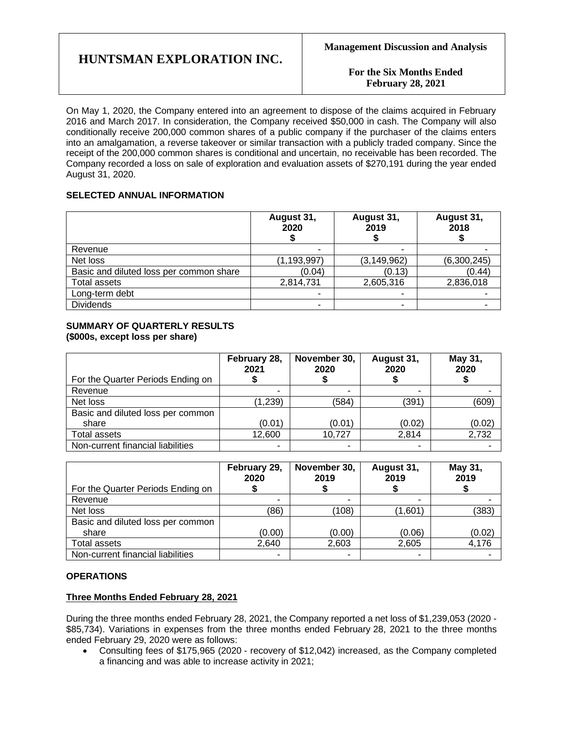**For the Six Months Ended February 28, 2021**

On May 1, 2020, the Company entered into an agreement to dispose of the claims acquired in February 2016 and March 2017. In consideration, the Company received \$50,000 in cash. The Company will also conditionally receive 200,000 common shares of a public company if the purchaser of the claims enters into an amalgamation, a reverse takeover or similar transaction with a publicly traded company. Since the receipt of the 200,000 common shares is conditional and uncertain, no receivable has been recorded. The Company recorded a loss on sale of exploration and evaluation assets of \$270,191 during the year ended August 31, 2020.

### **SELECTED ANNUAL INFORMATION**

|                                         | August 31,<br>2020 | August 31,<br>2019 | August 31,<br>2018 |
|-----------------------------------------|--------------------|--------------------|--------------------|
| Revenue                                 |                    |                    |                    |
| Net loss                                | (1, 193, 997)      | (3, 149, 962)      | (6,300,245)        |
| Basic and diluted loss per common share | (0.04)             | (0.13)             | (0.44)             |
| <b>Total assets</b>                     | 2,814,731          | 2,605,316          | 2,836,018          |
| Long-term debt                          |                    |                    |                    |
| <b>Dividends</b>                        | -                  |                    |                    |

### **SUMMARY OF QUARTERLY RESULTS (\$000s, except loss per share)**

|                                   | February 28,<br>2021 | November 30,<br>2020 | August 31,<br>2020 | May 31,<br>2020 |
|-----------------------------------|----------------------|----------------------|--------------------|-----------------|
| For the Quarter Periods Ending on |                      |                      |                    |                 |
| Revenue                           | ۰                    |                      |                    |                 |
| Net loss                          | (1, 239)             | (584)                | (391               | (609)           |
| Basic and diluted loss per common |                      |                      |                    |                 |
| share                             | (0.01)               | (0.01)               | (0.02)             | (0.02)          |
| Total assets                      | 12,600               | 10,727               | 2.814              | 2,732           |
| Non-current financial liabilities | -                    |                      |                    |                 |

| For the Quarter Periods Ending on | February 29,<br>2020 | November 30,<br>2019 | August 31,<br>2019 | May 31,<br>2019 |
|-----------------------------------|----------------------|----------------------|--------------------|-----------------|
| Revenue                           | ۰                    | ۰                    |                    |                 |
| Net loss                          | (86)                 | (108)                | (1,601)            | (383)           |
| Basic and diluted loss per common |                      |                      |                    |                 |
| share                             | (0.00)               | (0.00)               | (0.06)             | (0.02)          |
| <b>Total assets</b>               | 2,640                | 2,603                | 2,605              | 4,176           |
| Non-current financial liabilities | ۰                    | -                    |                    |                 |

### **OPERATIONS**

### **Three Months Ended February 28, 2021**

During the three months ended February 28, 2021, the Company reported a net loss of \$1,239,053 (2020 - \$85,734). Variations in expenses from the three months ended February 28, 2021 to the three months ended February 29, 2020 were as follows:

• Consulting fees of \$175,965 (2020 - recovery of \$12,042) increased, as the Company completed a financing and was able to increase activity in 2021;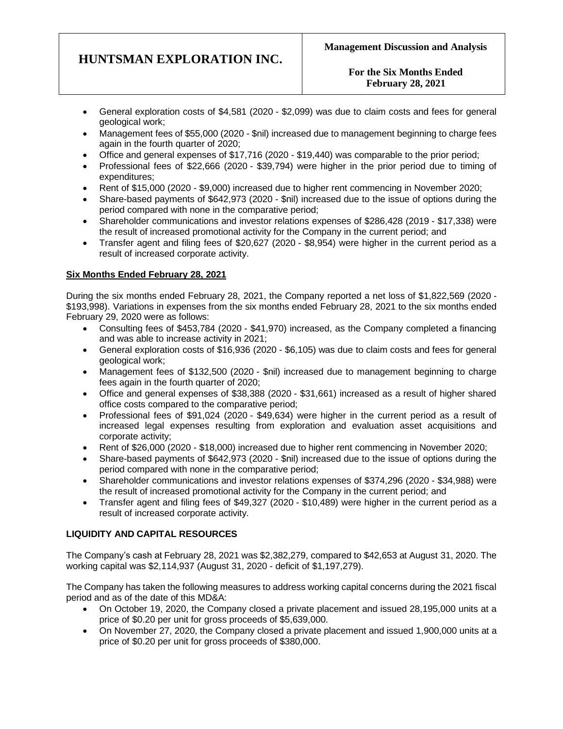- General exploration costs of \$4,581 (2020 \$2,099) was due to claim costs and fees for general geological work;
- Management fees of \$55,000 (2020 \$nil) increased due to management beginning to charge fees again in the fourth quarter of 2020;
- Office and general expenses of \$17,716 (2020 \$19,440) was comparable to the prior period;
- Professional fees of \$22,666 (2020 \$39,794) were higher in the prior period due to timing of expenditures;
- Rent of \$15,000 (2020 \$9,000) increased due to higher rent commencing in November 2020;
- Share-based payments of \$642,973 (2020 \$nil) increased due to the issue of options during the period compared with none in the comparative period;
- Shareholder communications and investor relations expenses of \$286,428 (2019 \$17,338) were the result of increased promotional activity for the Company in the current period; and
- Transfer agent and filing fees of \$20,627 (2020 \$8,954) were higher in the current period as a result of increased corporate activity.

### **Six Months Ended February 28, 2021**

During the six months ended February 28, 2021, the Company reported a net loss of \$1,822,569 (2020 - \$193,998). Variations in expenses from the six months ended February 28, 2021 to the six months ended February 29, 2020 were as follows:

- Consulting fees of \$453,784 (2020 \$41,970) increased, as the Company completed a financing and was able to increase activity in 2021;
- General exploration costs of \$16,936 (2020 \$6,105) was due to claim costs and fees for general geological work;
- Management fees of \$132,500 (2020 \$nil) increased due to management beginning to charge fees again in the fourth quarter of 2020;
- Office and general expenses of \$38,388 (2020 \$31,661) increased as a result of higher shared office costs compared to the comparative period;
- Professional fees of \$91,024 (2020 \$49,634) were higher in the current period as a result of increased legal expenses resulting from exploration and evaluation asset acquisitions and corporate activity;
- Rent of \$26,000 (2020 \$18,000) increased due to higher rent commencing in November 2020;
- Share-based payments of \$642,973 (2020 \$nil) increased due to the issue of options during the period compared with none in the comparative period;
- Shareholder communications and investor relations expenses of \$374,296 (2020 \$34,988) were the result of increased promotional activity for the Company in the current period; and
- Transfer agent and filing fees of \$49,327 (2020 \$10,489) were higher in the current period as a result of increased corporate activity.

### **LIQUIDITY AND CAPITAL RESOURCES**

The Company's cash at February 28, 2021 was \$2,382,279, compared to \$42,653 at August 31, 2020. The working capital was \$2,114,937 (August 31, 2020 - deficit of \$1,197,279).

The Company has taken the following measures to address working capital concerns during the 2021 fiscal period and as of the date of this MD&A:

- On October 19, 2020, the Company closed a private placement and issued 28,195,000 units at a price of \$0.20 per unit for gross proceeds of \$5,639,000.
- On November 27, 2020, the Company closed a private placement and issued 1,900,000 units at a price of \$0.20 per unit for gross proceeds of \$380,000.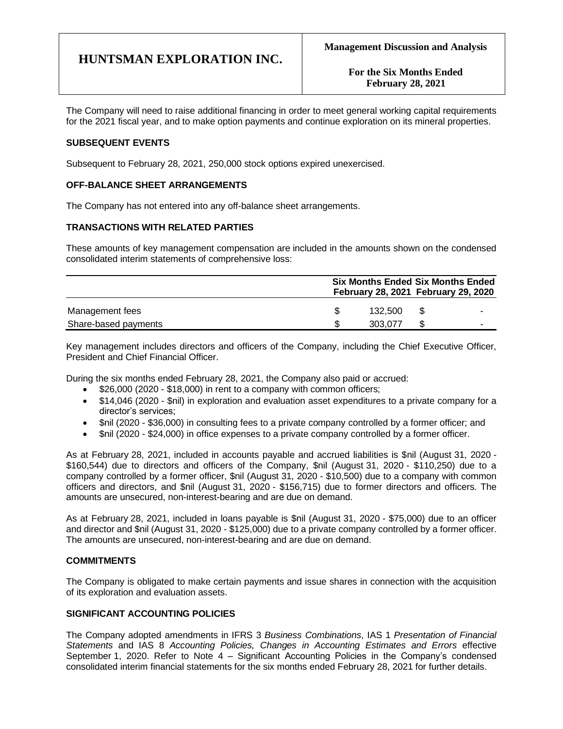**For the Six Months Ended February 28, 2021**

The Company will need to raise additional financing in order to meet general working capital requirements for the 2021 fiscal year, and to make option payments and continue exploration on its mineral properties.

### **SUBSEQUENT EVENTS**

Subsequent to February 28, 2021, 250,000 stock options expired unexercised.

### **OFF-BALANCE SHEET ARRANGEMENTS**

The Company has not entered into any off-balance sheet arrangements.

### **TRANSACTIONS WITH RELATED PARTIES**

These amounts of key management compensation are included in the amounts shown on the condensed consolidated interim statements of comprehensive loss:

|                      | <b>Six Months Ended Six Months Ended</b><br>February 28, 2021 February 29, 2020 |    |  |  |
|----------------------|---------------------------------------------------------------------------------|----|--|--|
| Management fees      | 132.500                                                                         | -S |  |  |
| Share-based payments | 303.077                                                                         |    |  |  |

Key management includes directors and officers of the Company, including the Chief Executive Officer, President and Chief Financial Officer.

During the six months ended February 28, 2021, the Company also paid or accrued:

- \$26,000 (2020 \$18,000) in rent to a company with common officers;
- \$14,046 (2020 \$nil) in exploration and evaluation asset expenditures to a private company for a director's services;
- \$nil (2020 \$36,000) in consulting fees to a private company controlled by a former officer; and
- \$nil (2020 \$24,000) in office expenses to a private company controlled by a former officer.

As at February 28, 2021, included in accounts payable and accrued liabilities is \$nil (August 31, 2020 - \$160,544) due to directors and officers of the Company, \$nil (August 31, 2020 - \$110,250) due to a company controlled by a former officer, \$nil (August 31, 2020 - \$10,500) due to a company with common officers and directors, and \$nil (August 31, 2020 - \$156,715) due to former directors and officers. The amounts are unsecured, non-interest-bearing and are due on demand.

As at February 28, 2021, included in loans payable is \$nil (August 31, 2020 - \$75,000) due to an officer and director and \$nil (August 31, 2020 - \$125,000) due to a private company controlled by a former officer. The amounts are unsecured, non-interest-bearing and are due on demand.

### **COMMITMENTS**

The Company is obligated to make certain payments and issue shares in connection with the acquisition of its exploration and evaluation assets.

### **SIGNIFICANT ACCOUNTING POLICIES**

The Company adopted amendments in IFRS 3 *Business Combinations*, IAS 1 *Presentation of Financial Statements* and IAS 8 *Accounting Policies, Changes in Accounting Estimates and Errors* effective September 1, 2020. Refer to Note 4 – Significant Accounting Policies in the Company's condensed consolidated interim financial statements for the six months ended February 28, 2021 for further details.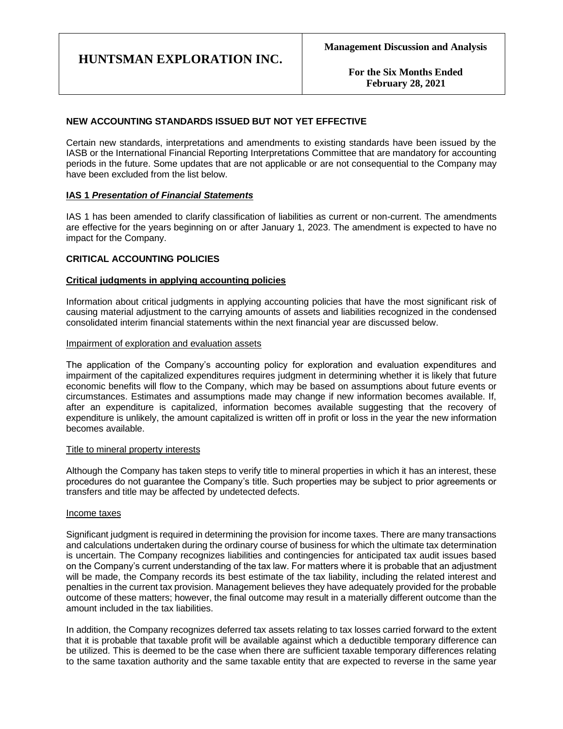**For the Six Months Ended February 28, 2021**

### **NEW ACCOUNTING STANDARDS ISSUED BUT NOT YET EFFECTIVE**

Certain new standards, interpretations and amendments to existing standards have been issued by the IASB or the International Financial Reporting Interpretations Committee that are mandatory for accounting periods in the future. Some updates that are not applicable or are not consequential to the Company may have been excluded from the list below.

### **IAS 1** *Presentation of Financial Statements*

IAS 1 has been amended to clarify classification of liabilities as current or non-current. The amendments are effective for the years beginning on or after January 1, 2023. The amendment is expected to have no impact for the Company.

### **CRITICAL ACCOUNTING POLICIES**

### **Critical judgments in applying accounting policies**

Information about critical judgments in applying accounting policies that have the most significant risk of causing material adjustment to the carrying amounts of assets and liabilities recognized in the condensed consolidated interim financial statements within the next financial year are discussed below.

### Impairment of exploration and evaluation assets

The application of the Company's accounting policy for exploration and evaluation expenditures and impairment of the capitalized expenditures requires judgment in determining whether it is likely that future economic benefits will flow to the Company, which may be based on assumptions about future events or circumstances. Estimates and assumptions made may change if new information becomes available. If, after an expenditure is capitalized, information becomes available suggesting that the recovery of expenditure is unlikely, the amount capitalized is written off in profit or loss in the year the new information becomes available.

### Title to mineral property interests

Although the Company has taken steps to verify title to mineral properties in which it has an interest, these procedures do not guarantee the Company's title. Such properties may be subject to prior agreements or transfers and title may be affected by undetected defects.

### Income taxes

Significant judgment is required in determining the provision for income taxes. There are many transactions and calculations undertaken during the ordinary course of business for which the ultimate tax determination is uncertain. The Company recognizes liabilities and contingencies for anticipated tax audit issues based on the Company's current understanding of the tax law. For matters where it is probable that an adjustment will be made, the Company records its best estimate of the tax liability, including the related interest and penalties in the current tax provision. Management believes they have adequately provided for the probable outcome of these matters; however, the final outcome may result in a materially different outcome than the amount included in the tax liabilities.

In addition, the Company recognizes deferred tax assets relating to tax losses carried forward to the extent that it is probable that taxable profit will be available against which a deductible temporary difference can be utilized. This is deemed to be the case when there are sufficient taxable temporary differences relating to the same taxation authority and the same taxable entity that are expected to reverse in the same year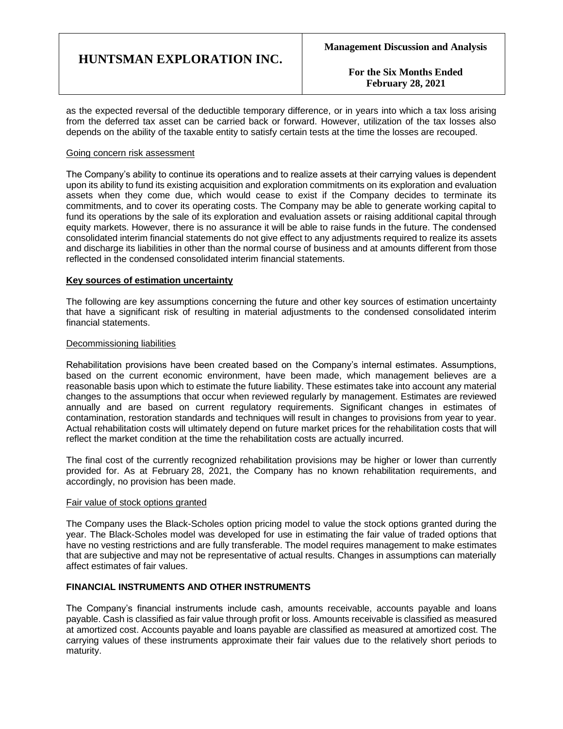**For the Six Months Ended February 28, 2021**

as the expected reversal of the deductible temporary difference, or in years into which a tax loss arising from the deferred tax asset can be carried back or forward. However, utilization of the tax losses also depends on the ability of the taxable entity to satisfy certain tests at the time the losses are recouped.

#### Going concern risk assessment

The Company's ability to continue its operations and to realize assets at their carrying values is dependent upon its ability to fund its existing acquisition and exploration commitments on its exploration and evaluation assets when they come due, which would cease to exist if the Company decides to terminate its commitments, and to cover its operating costs. The Company may be able to generate working capital to fund its operations by the sale of its exploration and evaluation assets or raising additional capital through equity markets. However, there is no assurance it will be able to raise funds in the future. The condensed consolidated interim financial statements do not give effect to any adjustments required to realize its assets and discharge its liabilities in other than the normal course of business and at amounts different from those reflected in the condensed consolidated interim financial statements.

### **Key sources of estimation uncertainty**

The following are key assumptions concerning the future and other key sources of estimation uncertainty that have a significant risk of resulting in material adjustments to the condensed consolidated interim financial statements.

### Decommissioning liabilities

Rehabilitation provisions have been created based on the Company's internal estimates. Assumptions, based on the current economic environment, have been made, which management believes are a reasonable basis upon which to estimate the future liability. These estimates take into account any material changes to the assumptions that occur when reviewed regularly by management. Estimates are reviewed annually and are based on current regulatory requirements. Significant changes in estimates of contamination, restoration standards and techniques will result in changes to provisions from year to year. Actual rehabilitation costs will ultimately depend on future market prices for the rehabilitation costs that will reflect the market condition at the time the rehabilitation costs are actually incurred.

The final cost of the currently recognized rehabilitation provisions may be higher or lower than currently provided for. As at February 28, 2021, the Company has no known rehabilitation requirements, and accordingly, no provision has been made.

### Fair value of stock options granted

The Company uses the Black-Scholes option pricing model to value the stock options granted during the year. The Black-Scholes model was developed for use in estimating the fair value of traded options that have no vesting restrictions and are fully transferable. The model requires management to make estimates that are subjective and may not be representative of actual results. Changes in assumptions can materially affect estimates of fair values.

### **FINANCIAL INSTRUMENTS AND OTHER INSTRUMENTS**

The Company's financial instruments include cash, amounts receivable, accounts payable and loans payable. Cash is classified as fair value through profit or loss. Amounts receivable is classified as measured at amortized cost. Accounts payable and loans payable are classified as measured at amortized cost. The carrying values of these instruments approximate their fair values due to the relatively short periods to maturity.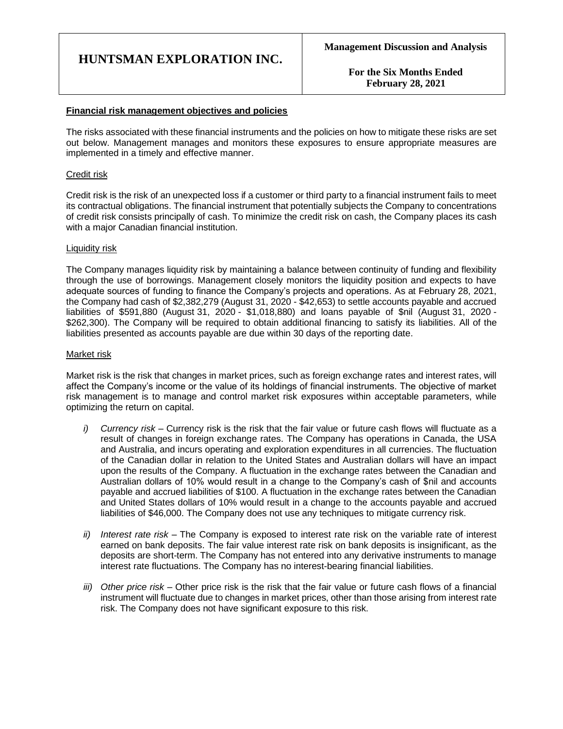**For the Six Months Ended February 28, 2021**

### **Financial risk management objectives and policies**

The risks associated with these financial instruments and the policies on how to mitigate these risks are set out below. Management manages and monitors these exposures to ensure appropriate measures are implemented in a timely and effective manner.

### Credit risk

Credit risk is the risk of an unexpected loss if a customer or third party to a financial instrument fails to meet its contractual obligations. The financial instrument that potentially subjects the Company to concentrations of credit risk consists principally of cash. To minimize the credit risk on cash, the Company places its cash with a major Canadian financial institution.

### Liquidity risk

The Company manages liquidity risk by maintaining a balance between continuity of funding and flexibility through the use of borrowings. Management closely monitors the liquidity position and expects to have adequate sources of funding to finance the Company's projects and operations. As at February 28, 2021, the Company had cash of \$2,382,279 (August 31, 2020 - \$42,653) to settle accounts payable and accrued liabilities of \$591,880 (August 31, 2020 - \$1,018,880) and loans payable of \$nil (August 31, 2020 - \$262,300). The Company will be required to obtain additional financing to satisfy its liabilities. All of the liabilities presented as accounts payable are due within 30 days of the reporting date.

### Market risk

Market risk is the risk that changes in market prices, such as foreign exchange rates and interest rates, will affect the Company's income or the value of its holdings of financial instruments. The objective of market risk management is to manage and control market risk exposures within acceptable parameters, while optimizing the return on capital.

- *i) Currency risk –* Currency risk is the risk that the fair value or future cash flows will fluctuate as a result of changes in foreign exchange rates. The Company has operations in Canada, the USA and Australia, and incurs operating and exploration expenditures in all currencies. The fluctuation of the Canadian dollar in relation to the United States and Australian dollars will have an impact upon the results of the Company. A fluctuation in the exchange rates between the Canadian and Australian dollars of 10% would result in a change to the Company's cash of \$nil and accounts payable and accrued liabilities of \$100. A fluctuation in the exchange rates between the Canadian and United States dollars of 10% would result in a change to the accounts payable and accrued liabilities of \$46,000. The Company does not use any techniques to mitigate currency risk.
- *ii) Interest rate risk –* The Company is exposed to interest rate risk on the variable rate of interest earned on bank deposits. The fair value interest rate risk on bank deposits is insignificant, as the deposits are short-term. The Company has not entered into any derivative instruments to manage interest rate fluctuations. The Company has no interest-bearing financial liabilities.
- *iii) Other price risk –* Other price risk is the risk that the fair value or future cash flows of a financial instrument will fluctuate due to changes in market prices, other than those arising from interest rate risk. The Company does not have significant exposure to this risk.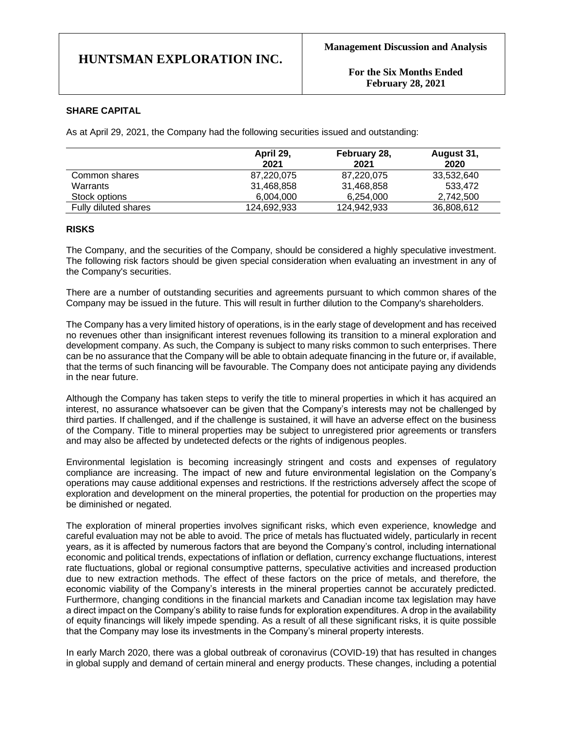**For the Six Months Ended February 28, 2021**

### **SHARE CAPITAL**

As at April 29, 2021, the Company had the following securities issued and outstanding:

|                      | April 29,<br>2021 | February 28,<br>2021 | August 31,<br>2020 |
|----------------------|-------------------|----------------------|--------------------|
| Common shares        | 87,220,075        | 87,220,075           | 33,532,640         |
| Warrants             | 31,468,858        | 31,468,858           | 533.472            |
| Stock options        | 6.004.000         | 6.254.000            | 2.742.500          |
| Fully diluted shares | 124,692,933       | 124,942,933          | 36,808,612         |

### **RISKS**

The Company, and the securities of the Company, should be considered a highly speculative investment. The following risk factors should be given special consideration when evaluating an investment in any of the Company's securities.

There are a number of outstanding securities and agreements pursuant to which common shares of the Company may be issued in the future. This will result in further dilution to the Company's shareholders.

The Company has a very limited history of operations, is in the early stage of development and has received no revenues other than insignificant interest revenues following its transition to a mineral exploration and development company. As such, the Company is subject to many risks common to such enterprises. There can be no assurance that the Company will be able to obtain adequate financing in the future or, if available, that the terms of such financing will be favourable. The Company does not anticipate paying any dividends in the near future.

Although the Company has taken steps to verify the title to mineral properties in which it has acquired an interest, no assurance whatsoever can be given that the Company's interests may not be challenged by third parties. If challenged, and if the challenge is sustained, it will have an adverse effect on the business of the Company. Title to mineral properties may be subject to unregistered prior agreements or transfers and may also be affected by undetected defects or the rights of indigenous peoples.

Environmental legislation is becoming increasingly stringent and costs and expenses of regulatory compliance are increasing. The impact of new and future environmental legislation on the Company's operations may cause additional expenses and restrictions. If the restrictions adversely affect the scope of exploration and development on the mineral properties, the potential for production on the properties may be diminished or negated.

The exploration of mineral properties involves significant risks, which even experience, knowledge and careful evaluation may not be able to avoid. The price of metals has fluctuated widely, particularly in recent years, as it is affected by numerous factors that are beyond the Company's control, including international economic and political trends, expectations of inflation or deflation, currency exchange fluctuations, interest rate fluctuations, global or regional consumptive patterns, speculative activities and increased production due to new extraction methods. The effect of these factors on the price of metals, and therefore, the economic viability of the Company's interests in the mineral properties cannot be accurately predicted. Furthermore, changing conditions in the financial markets and Canadian income tax legislation may have a direct impact on the Company's ability to raise funds for exploration expenditures. A drop in the availability of equity financings will likely impede spending. As a result of all these significant risks, it is quite possible that the Company may lose its investments in the Company's mineral property interests.

In early March 2020, there was a global outbreak of coronavirus (COVID-19) that has resulted in changes in global supply and demand of certain mineral and energy products. These changes, including a potential